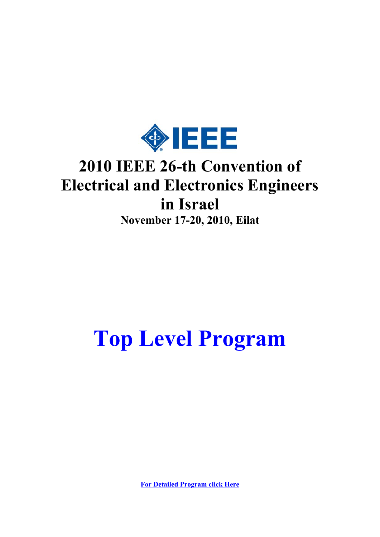

## **2010 IEEE 26-th Convention of Electrical and Electronics Engineers in Israel**

**November 17-20, 2010, Eilat**

# **Top Level Program**

**For Detailed Program click Here**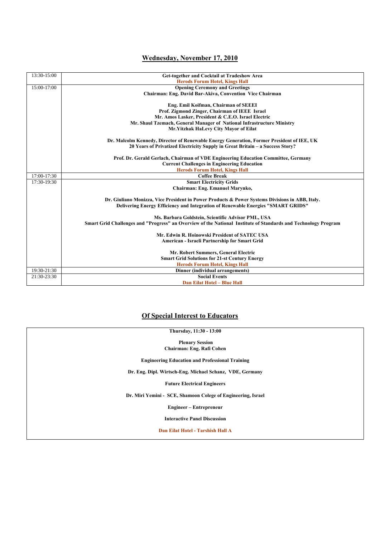#### **Wednesday, November 17, 2010**

| 13:30-15:00 |                                                                                                                |  |  |  |  |  |  |
|-------------|----------------------------------------------------------------------------------------------------------------|--|--|--|--|--|--|
|             | Get-together and Cocktail at Tradeshow Area<br><b>Herods Forum Hotel, Kings Hall</b>                           |  |  |  |  |  |  |
| 15:00-17:00 |                                                                                                                |  |  |  |  |  |  |
|             | <b>Opening Ceremony and Greetings</b>                                                                          |  |  |  |  |  |  |
|             | Chairman: Eng. David Bar-Akiva, Convention Vice Chairman                                                       |  |  |  |  |  |  |
|             |                                                                                                                |  |  |  |  |  |  |
|             | Eng. Emil Koifman, Chairman of SEEEI                                                                           |  |  |  |  |  |  |
|             | Prof. Zigmond Zinger, Chairman of IEEE Israel                                                                  |  |  |  |  |  |  |
|             | Mr. Amos Lasker, President & C.E.O. Israel Electric                                                            |  |  |  |  |  |  |
|             | Mr. Shaul Tzemach, General Manager of National Infrastructure Ministry                                         |  |  |  |  |  |  |
|             | Mr.Yitzhak HaLevy City Mayor of Eilat                                                                          |  |  |  |  |  |  |
|             | Dr. Malcolm Kennedy, Director of Renewable Energy Generation, Former President of IEE, UK                      |  |  |  |  |  |  |
|             | 20 Years of Privatized Electricity Supply in Great Britain – a Success Story?                                  |  |  |  |  |  |  |
|             | Prof. Dr. Gerald Gerlach, Chairman of VDE Engineering Education Committee, Germany                             |  |  |  |  |  |  |
|             | <b>Current Challenges in Engineering Education</b>                                                             |  |  |  |  |  |  |
|             | <b>Herods Forum Hotel, Kings Hall</b>                                                                          |  |  |  |  |  |  |
| 17:00-17:30 | <b>Coffee Break</b>                                                                                            |  |  |  |  |  |  |
| 17:30-19:30 | <b>Smart Electricity Grids</b>                                                                                 |  |  |  |  |  |  |
|             | Chairman: Eng. Emanuel Marynko,                                                                                |  |  |  |  |  |  |
|             |                                                                                                                |  |  |  |  |  |  |
|             | Dr. Giuliano Monizza, Vice President in Power Products & Power Systems Divisions in ABB, Italy.                |  |  |  |  |  |  |
|             | Delivering Energy Efficiency and Integration of Renewable Energies "SMART GRIDS"                               |  |  |  |  |  |  |
|             |                                                                                                                |  |  |  |  |  |  |
|             | Ms. Barbara Goldstein, Scientific Advisor PML, USA                                                             |  |  |  |  |  |  |
|             | Smart Grid Challenges and "Progress" an Overview of the National Institute of Standards and Technology Program |  |  |  |  |  |  |
|             |                                                                                                                |  |  |  |  |  |  |
|             | Mr. Edwin R. Hoinowski President of SATEC USA                                                                  |  |  |  |  |  |  |
|             | American - Israeli Partnership for Smart Grid                                                                  |  |  |  |  |  |  |
|             |                                                                                                                |  |  |  |  |  |  |
|             | Mr. Robert Summers, General Electric                                                                           |  |  |  |  |  |  |
|             | <b>Smart Grid Solutions for 21-st Century Energy</b>                                                           |  |  |  |  |  |  |
|             | <b>Herods Forum Hotel, Kings Hall</b>                                                                          |  |  |  |  |  |  |
| 19:30-21:30 | <b>Dinner</b> (individual arrangements)                                                                        |  |  |  |  |  |  |
| 21:30-23:30 | <b>Social Events</b>                                                                                           |  |  |  |  |  |  |
|             | <b>Dan Eilat Hotel - Blue Hall</b>                                                                             |  |  |  |  |  |  |

#### **Of Special Interest to Educators**

| Thursday, 11:30 - 13:00                                      |
|--------------------------------------------------------------|
| <b>Plenary Session</b>                                       |
| Chairman: Eng. Rafi Cohen                                    |
| <b>Engineering Education and Professional Training</b>       |
| Dr. Eng. Dipl. Wirtsch-Eng. Michael Schanz, VDE, Germany     |
| <b>Future Electrical Engineers</b>                           |
| Dr. Miri Yemini - SCE, Shamoon Colege of Engineering, Israel |
| Engineer – Entrepreneur                                      |
| <b>Interactive Panel Discussion</b>                          |
| Dan Eilat Hotel - Tarshish Hall A                            |
|                                                              |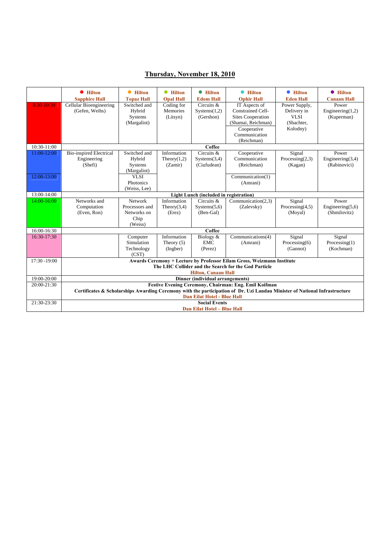#### **Thursday, November 18, 2010**

|              | <b>•</b> Hilton                                                                                                            | <b>•</b> Hilton   | <b>•</b> Hilton  | <b>•</b> Hilton                        | <b>• Hilton</b>                                                        | <b>•</b> Hilton    | <b>•</b> Hilton     |  |  |
|--------------|----------------------------------------------------------------------------------------------------------------------------|-------------------|------------------|----------------------------------------|------------------------------------------------------------------------|--------------------|---------------------|--|--|
|              | <b>Sapphire Hall</b>                                                                                                       | <b>Topaz Hall</b> | <b>Opal Hall</b> | <b>Edom Hall</b>                       | <b>Ophir Hall</b>                                                      | <b>Eden Hall</b>   | <b>Canaan Hall</b>  |  |  |
| 8:30-10:30   | Cellular Bioengineering                                                                                                    | Switched and      | Coding for       | Circuits &                             | IT Aspects of                                                          | Power Supply,      | Power               |  |  |
|              | (Gefen, Weihs)                                                                                                             | Hybrid            | Memories         | Systems(1,2)                           | <b>Constrained Cell-</b>                                               | Delivery in        | Engineering $(1,2)$ |  |  |
|              |                                                                                                                            | Systems           | (Litsyn)         | (Gershon)                              | <b>Sites Cooperation</b>                                               | VLSI               | (Kuperman)          |  |  |
|              |                                                                                                                            | (Margaliot)       |                  |                                        | (Shamai, Reichman)                                                     | (Shachter,         |                     |  |  |
|              |                                                                                                                            |                   |                  |                                        | Cooperative                                                            | Kolodny)           |                     |  |  |
|              |                                                                                                                            |                   |                  |                                        | Communication                                                          |                    |                     |  |  |
|              |                                                                                                                            |                   |                  |                                        | (Reichman)                                                             |                    |                     |  |  |
| 10:30-11:00  | Coffee                                                                                                                     |                   |                  |                                        |                                                                        |                    |                     |  |  |
| 11:00-12:00  | <b>Bio-inspired Electrical</b>                                                                                             | Switched and      | Information      | Circuits &                             | Cooperative                                                            | Signal             | Power               |  |  |
|              | Engineering                                                                                                                | Hybrid            | Theory $(1,2)$   | Systems(3,4)                           | Communication                                                          | Processing $(2,3)$ | Engineering $(3,4)$ |  |  |
|              | (Shefi)                                                                                                                    | Systems           | (Zamir)          | (Ciufudean)                            | (Reichman)                                                             | (Kagan)            | (Rabinovici)        |  |  |
|              |                                                                                                                            | (Margaliot)       |                  |                                        |                                                                        |                    |                     |  |  |
| 12:00-13:00  |                                                                                                                            | <b>VLSI</b>       |                  |                                        | Communication(1)                                                       |                    |                     |  |  |
|              |                                                                                                                            | Photonics         |                  |                                        | (Amrani)                                                               |                    |                     |  |  |
|              |                                                                                                                            | (Weiss, Lee)      |                  |                                        |                                                                        |                    |                     |  |  |
| 13:00-14:00  |                                                                                                                            |                   |                  | Light Lunch (included in registration) |                                                                        |                    |                     |  |  |
| 14:00-16:00  | Networks and                                                                                                               | Network           | Information      | Circuits &                             | Communication(2,3)                                                     | Signal             | Power               |  |  |
|              | Computation                                                                                                                | Processors and    | Theory $(3,4)$   | Systems(5,6)                           | (Zalevsky)                                                             | Processing $(4,5)$ | Engineering $(5,6)$ |  |  |
|              | (Even, Ron)                                                                                                                | Networks on       | (Erez)           | (Ben-Gal)                              |                                                                        | (Moyal)            | (Shmilovitz)        |  |  |
|              |                                                                                                                            | Chip              |                  |                                        |                                                                        |                    |                     |  |  |
|              |                                                                                                                            | (Weiss)           |                  |                                        |                                                                        |                    |                     |  |  |
| 16:00-16:30  |                                                                                                                            |                   |                  | Coffee                                 |                                                                        |                    |                     |  |  |
| 16:30-17:30  |                                                                                                                            | Computer          | Information      | Biology &                              | Communications(4)                                                      | Signal             | Signal              |  |  |
|              |                                                                                                                            | Simulation        | Theory $(5)$     | <b>EMC</b>                             | (Amrani)                                                               | Processing $(6)$   | Processing $(1)$    |  |  |
|              |                                                                                                                            | Technology        | (Ingber)         | (Perez)                                |                                                                        | (Gannot)           | (Kochman)           |  |  |
|              |                                                                                                                            | (CST)             |                  |                                        |                                                                        |                    |                     |  |  |
| 17:30 -19:00 |                                                                                                                            |                   |                  |                                        | Awards Ceremony + Lecture by Professor Eilam Gross, Weizmann Institute |                    |                     |  |  |
|              |                                                                                                                            |                   |                  |                                        | The LHC Collider and the Search for the God Particle                   |                    |                     |  |  |
|              |                                                                                                                            |                   |                  | <b>Hilton, Canaan Hall</b>             |                                                                        |                    |                     |  |  |
| 19:00-20:00  |                                                                                                                            |                   |                  | Dinner (individual arrangements)       |                                                                        |                    |                     |  |  |
| 20:00-21:30  |                                                                                                                            |                   |                  |                                        | Festive Evening Ceremony, Chairman: Eng. Emil Koifman                  |                    |                     |  |  |
|              | Certificates & Scholarships Awarding Ceremony with the participation of Dr. Uzi Landau Minister of National Infrastructure |                   |                  |                                        |                                                                        |                    |                     |  |  |
|              | <b>Dan Eilat Hotel - Blue Hall</b>                                                                                         |                   |                  |                                        |                                                                        |                    |                     |  |  |
| 21:30-23:30  | <b>Social Events</b>                                                                                                       |                   |                  |                                        |                                                                        |                    |                     |  |  |
|              | <b>Dan Eilat Hotel - Blue Hall</b>                                                                                         |                   |                  |                                        |                                                                        |                    |                     |  |  |